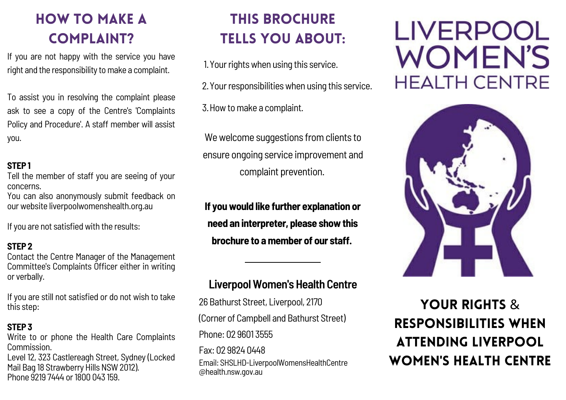# HOW TO MAKE A COMPLAINT?

If you are not happy with the service you have right and the responsibility to make a complaint.

To assist you in resolving the complaint please ask to see a copy of the Centre's 'Complaints Policy and Procedure'. A staff member will assist you.

#### **STEP 1**

Tell the member of staff you are seeing of your concerns.

You can also anonymously submit feedback on our website liverpoolwomenshealth.org.au

If you are not satisfied with the results:

#### **STEP 2**

Contact the Centre Manager of the Management Committee's Complaints Officer either in writing or verbally.

If you are still not satisfied or do not wish to take this step:

#### **STEP 3**

Write to or phone the Health Care Complaints Commission. Level 12, 323 Castlereagh Street, Sydney (Locked Mail Bag 18 Strawberry Hills NSW 2012). Phone 9219 7444 or 1800 043 159.

# THIS BROCHURE TELLS YOU ABOUT:

1. Your rights when using this service.

2. Your responsibilities when using this service.

3. How to make a complaint.

We welcome suggestions from clients to ensure ongoing service improvement and complaint prevention.

**If youwould like further explanation or need an interpreter, please showthis brochure to amember of our staff.**

### **LiverpoolWomen's Health Centre**

26 Bathurst Street, Liverpool, 2170 (Corner of Campbell and Bathurst Street) Phone: 02 9601 3555 Fax: 02 9824 0448

Email: SHSLHD-LiverpoolWomensHealthCentre @health.nsw.gov.au

# **LIVERPOOL WOMEN'S HEALTH CENTRE**



YOUR RIGHTS & RESPONSIBILITIES WHEN ATTENDING LIVERPOOL WOMEN'S HEALTH CENTRE